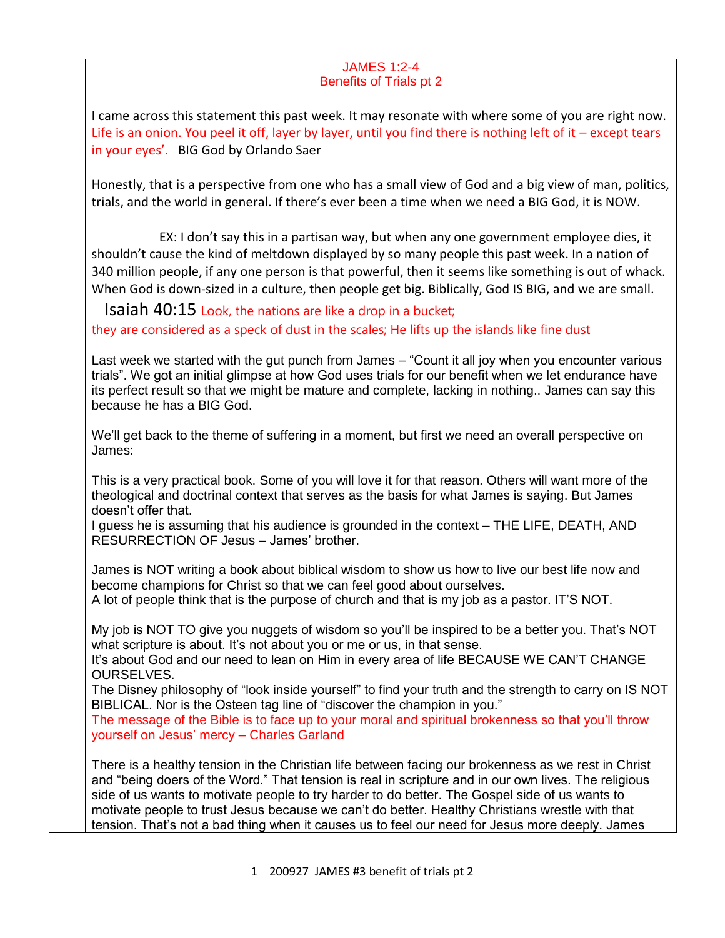## JAMES 1:2-4 Benefits of Trials pt 2

I came across this statement this past week. It may resonate with where some of you are right now. Life is an onion. You peel it off, layer by layer, until you find there is nothing left of it – except tears in your eyes'. BIG God by Orlando Saer

Honestly, that is a perspective from one who has a small view of God and a big view of man, politics, trials, and the world in general. If there's ever been a time when we need a BIG God, it is NOW.

 EX: I don't say this in a partisan way, but when any one government employee dies, it shouldn't cause the kind of meltdown displayed by so many people this past week. In a nation of 340 million people, if any one person is that powerful, then it seems like something is out of whack. When God is down-sized in a culture, then people get big. Biblically, God IS BIG, and we are small.

 Isaiah 40:15 Look, the nations are like a drop in a bucket; they are considered as a speck of dust in the scales; He lifts up the islands like fine dust

Last week we started with the gut punch from James – "Count it all joy when you encounter various trials". We got an initial glimpse at how God uses trials for our benefit when we let endurance have its perfect result so that we might be mature and complete, lacking in nothing.. James can say this because he has a BIG God.

We'll get back to the theme of suffering in a moment, but first we need an overall perspective on James:

This is a very practical book. Some of you will love it for that reason. Others will want more of the theological and doctrinal context that serves as the basis for what James is saying. But James doesn't offer that.

I guess he is assuming that his audience is grounded in the context – THE LIFE, DEATH, AND RESURRECTION OF Jesus – James' brother.

James is NOT writing a book about biblical wisdom to show us how to live our best life now and become champions for Christ so that we can feel good about ourselves.

A lot of people think that is the purpose of church and that is my job as a pastor. IT'S NOT.

My job is NOT TO give you nuggets of wisdom so you'll be inspired to be a better you. That's NOT what scripture is about. It's not about you or me or us, in that sense.

It's about God and our need to lean on Him in every area of life BECAUSE WE CAN'T CHANGE OURSELVES.

The Disney philosophy of "look inside yourself" to find your truth and the strength to carry on IS NOT BIBLICAL. Nor is the Osteen tag line of "discover the champion in you."

The message of the Bible is to face up to your moral and spiritual brokenness so that you'll throw yourself on Jesus' mercy – Charles Garland

There is a healthy tension in the Christian life between facing our brokenness as we rest in Christ and "being doers of the Word." That tension is real in scripture and in our own lives. The religious side of us wants to motivate people to try harder to do better. The Gospel side of us wants to motivate people to trust Jesus because we can't do better. Healthy Christians wrestle with that tension. That's not a bad thing when it causes us to feel our need for Jesus more deeply. James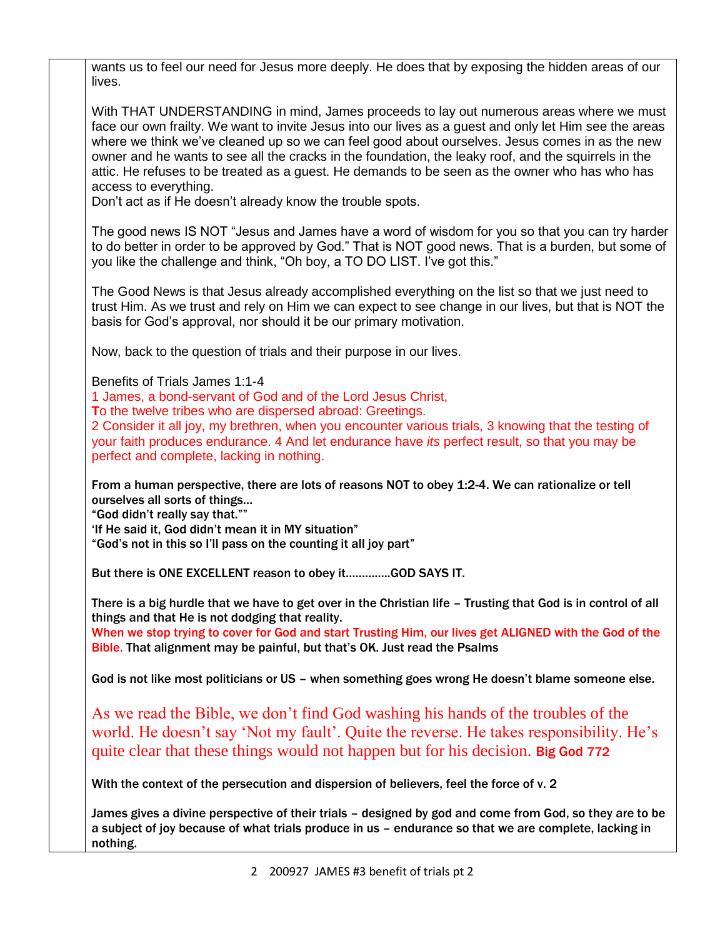wants us to feel our need for Jesus more deeply. He does that by exposing the hidden areas of our lives.

With THAT UNDERSTANDING in mind, James proceeds to lay out numerous areas where we must face our own frailty. We want to invite Jesus into our lives as a guest and only let Him see the areas where we think we've cleaned up so we can feel good about ourselves. Jesus comes in as the new owner and he wants to see all the cracks in the foundation, the leaky roof, and the squirrels in the attic. He refuses to be treated as a guest. He demands to be seen as the owner who has who has access to everything.

Don't act as if He doesn't already know the trouble spots.

The good news IS NOT "Jesus and James have a word of wisdom for you so that you can try harder to do better in order to be approved by God." That is NOT good news. That is a burden, but some of you like the challenge and think, "Oh boy, a TO DO LIST. I've got this."

The Good News is that Jesus already accomplished everything on the list so that we just need to trust Him. As we trust and rely on Him we can expect to see change in our lives, but that is NOT the basis for God's approval, nor should it be our primary motivation.

Now, back to the question of trials and their purpose in our lives.

Benefits of Trials James 1:1-4

1 James, a bond-servant of God and of the Lord Jesus Christ,

**T**o the twelve tribes who are dispersed abroad: Greetings.

2 Consider it all joy, my brethren, when you encounter various trials, 3 knowing that the testing of your faith produces endurance. 4 And let endurance have *its* perfect result, so that you may be perfect and complete, lacking in nothing.

From a human perspective, there are lots of reasons NOT to obey 1:2-4. We can rationalize or tell ourselves all sorts of things…

"God didn't really say that.""

'If He said it, God didn't mean it in MY situation"

"God's not in this so I'll pass on the counting it all joy part"

But there is ONE EXCELLENT reason to obey it…………..GOD SAYS IT.

There is a big hurdle that we have to get over in the Christian life – Trusting that God is in control of all things and that He is not dodging that reality.

When we stop trying to cover for God and start Trusting Him, our lives get ALIGNED with the God of the Bible. That alignment may be painful, but that's OK. Just read the Psalms

God is not like most politicians or US – when something goes wrong He doesn't blame someone else.

As we read the Bible, we don't find God washing his hands of the troubles of the world. He doesn't say 'Not my fault'. Quite the reverse. He takes responsibility. He's quite clear that these things would not happen but for his decision. Big God 772

With the context of the persecution and dispersion of believers, feel the force of v. 2

James gives a divine perspective of their trials – designed by god and come from God, so they are to be a subject of joy because of what trials produce in us – endurance so that we are complete, lacking in nothing.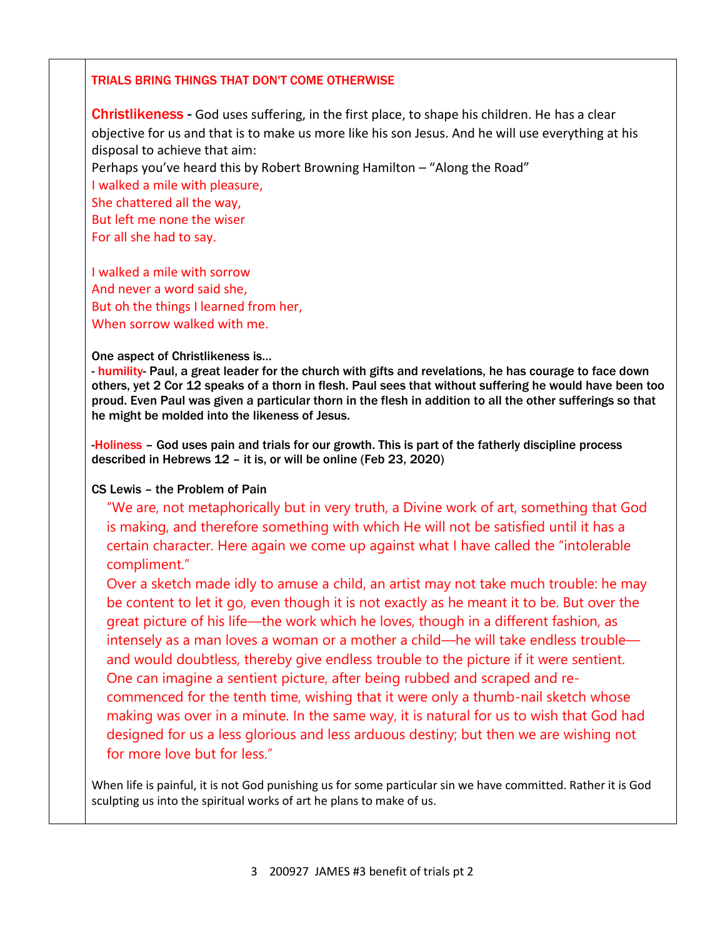## TRIALS BRING THINGS THAT DON'T COME OTHERWISE

Christlikeness - God uses suffering, in the first place, to shape his children. He has a clear objective for us and that is to make us more like his son Jesus. And he will use everything at his disposal to achieve that aim:

Perhaps you've heard this by Robert Browning Hamilton – "Along the Road"

I walked a mile with pleasure, She chattered all the way, But left me none the wiser For all she had to say.

I walked a mile with sorrow And never a word said she,

But oh the things I learned from her, When sorrow walked with me.

## One aspect of Christlikeness is…

- humility- Paul, a great leader for the church with gifts and revelations, he has courage to face down others, yet 2 Cor 12 speaks of a thorn in flesh. Paul sees that without suffering he would have been too proud. Even Paul was given a particular thorn in the flesh in addition to all the other sufferings so that he might be molded into the likeness of Jesus.

-Holiness – God uses pain and trials for our growth. This is part of the fatherly discipline process described in Hebrews 12 – it is, or will be online (Feb 23, 2020)

## CS Lewis – the Problem of Pain

"We are, not metaphorically but in very truth, a Divine work of art, something that God is making, and therefore something with which He will not be satisfied until it has a certain character. Here again we come up against what I have called the "intolerable compliment."

Over a sketch made idly to amuse a child, an artist may not take much trouble: he may be content to let it go, even though it is not exactly as he meant it to be. But over the great picture of his life—the work which he loves, though in a different fashion, as intensely as a man loves a woman or a mother a child—he will take endless trouble and would doubtless, thereby give endless trouble to the picture if it were sentient. One can imagine a sentient picture, after being rubbed and scraped and recommenced for the tenth time, wishing that it were only a thumb-nail sketch whose making was over in a minute. In the same way, it is natural for us to wish that God had designed for us a less glorious and less arduous destiny; but then we are wishing not for more love but for less."

When life is painful, it is not God punishing us for some particular sin we have committed. Rather it is God sculpting us into the spiritual works of art he plans to make of us.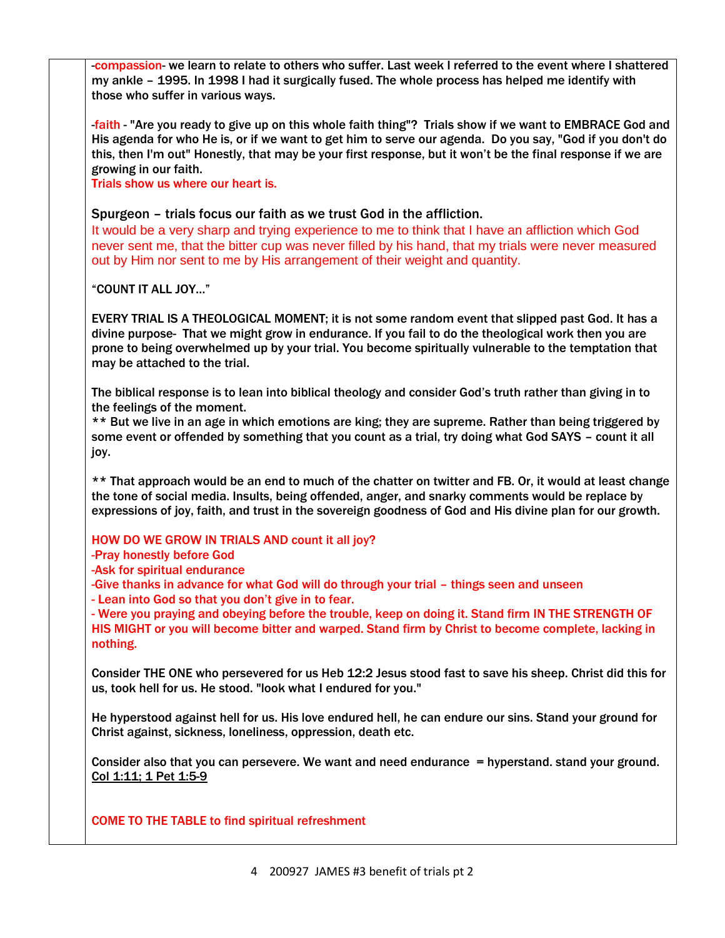-compassion- we learn to relate to others who suffer. Last week I referred to the event where I shattered my ankle – 1995. In 1998 I had it surgically fused. The whole process has helped me identify with those who suffer in various ways.

-faith - "Are you ready to give up on this whole faith thing"? Trials show if we want to EMBRACE God and His agenda for who He is, or if we want to get him to serve our agenda. Do you say, "God if you don't do this, then I'm out" Honestly, that may be your first response, but it won't be the final response if we are growing in our faith.

Trials show us where our heart is.

Spurgeon – trials focus our faith as we trust God in the affliction.

It would be a very sharp and trying experience to me to think that I have an affliction which God never sent me, that the bitter cup was never filled by his hand, that my trials were never measured out by Him nor sent to me by His arrangement of their weight and quantity.

"COUNT IT ALL JOY…"

EVERY TRIAL IS A THEOLOGICAL MOMENT; it is not some random event that slipped past God. It has a divine purpose- That we might grow in endurance. If you fail to do the theological work then you are prone to being overwhelmed up by your trial. You become spiritually vulnerable to the temptation that may be attached to the trial.

The biblical response is to lean into biblical theology and consider God's truth rather than giving in to the feelings of the moment.

\*\* But we live in an age in which emotions are king; they are supreme. Rather than being triggered by some event or offended by something that you count as a trial, try doing what God SAYS – count it all joy.

\*\* That approach would be an end to much of the chatter on twitter and FB. Or, it would at least change the tone of social media. Insults, being offended, anger, and snarky comments would be replace by expressions of joy, faith, and trust in the sovereign goodness of God and His divine plan for our growth.

HOW DO WE GROW IN TRIALS AND count it all joy?

-Pray honestly before God

-Ask for spiritual endurance

-Give thanks in advance for what God will do through your trial – things seen and unseen

- Lean into God so that you don't give in to fear.

- Were you praying and obeying before the trouble, keep on doing it. Stand firm IN THE STRENGTH OF HIS MIGHT or you will become bitter and warped. Stand firm by Christ to become complete, lacking in nothing.

Consider THE ONE who persevered for us Heb 12:2 Jesus stood fast to save his sheep. Christ did this for us, took hell for us. He stood. "look what I endured for you."

He hyperstood against hell for us. His love endured hell, he can endure our sins. Stand your ground for Christ against, sickness, loneliness, oppression, death etc.

Consider also that you can persevere. We want and need endurance = hyperstand. stand your ground. Col 1:11; 1 Pet 1:5-9

COME TO THE TABLE to find spiritual refreshment